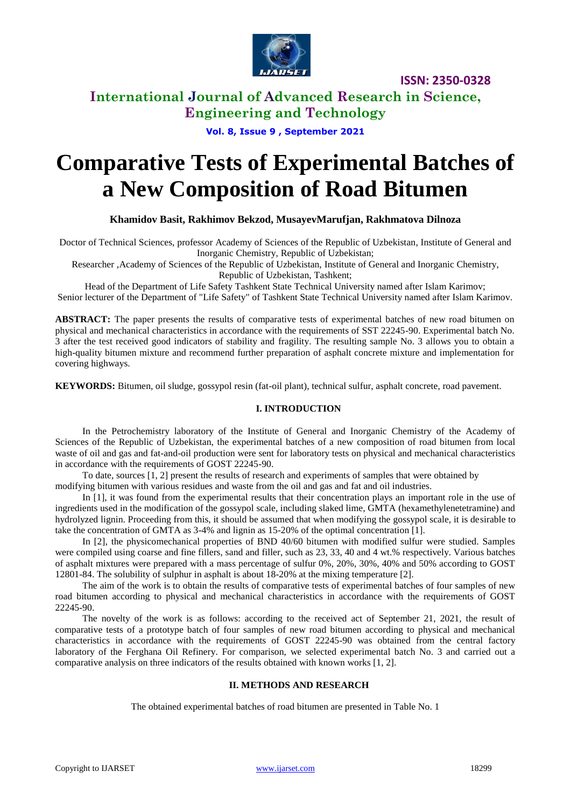

**ISSN: 2350-0328**

**International Journal of Advanced Research in Science, Engineering and Technology**

**Vol. 8, Issue 9 , September 2021**

# **Comparative Tests of Experimental Batches of a New Composition of Road Bitumen**

**Khamidov Basit, Rakhimov Bekzod, MusayevMarufjan, Rakhmatova Dilnoza**

Doctor of Technical Sciences, professor Academy of Sciences of the Republic of Uzbekistan, Institute of General and Inorganic Chemistry, Republic of Uzbekistan;

Researcher ,Academy of Sciences of the Republic of Uzbekistan, Institute of General and Inorganic Chemistry,

Republic of Uzbekistan, Tashkent;

Head of the Department of Life Safety Tashkent State Technical University named after Islam Karimov; Senior lecturer of the Department of "Life Safety" of Tashkent State Technical University named after Islam Karimov.

**ABSTRACT:** The paper presents the results of comparative tests of experimental batches of new road bitumen on physical and mechanical characteristics in accordance with the requirements of SST 22245-90. Experimental batch No. 3 after the test received good indicators of stability and fragility. The resulting sample No. 3 allows you to obtain a high-quality bitumen mixture and recommend further preparation of asphalt concrete mixture and implementation for covering highways.

**KEYWORDS:** Bitumen, oil sludge, gossypol resin (fat-oil plant), technical sulfur, asphalt concrete, road pavement.

### **I. INTRODUCTION**

In the Petrochemistry laboratory of the Institute of General and Inorganic Chemistry of the Academy of Sciences of the Republic of Uzbekistan, the experimental batches of a new composition of road bitumen from local waste of oil and gas and fat-and-oil production were sent for laboratory tests on physical and mechanical characteristics in accordance with the requirements of GOST 22245-90.

To date, sources [1, 2] present the results of research and experiments of samples that were obtained by modifying bitumen with various residues and waste from the oil and gas and fat and oil industries.

In [1], it was found from the experimental results that their concentration plays an important role in the use of ingredients used in the modification of the gossypol scale, including slaked lime, GMTA (hexamethylenetetramine) and hydrolyzed lignin. Proceeding from this, it should be assumed that when modifying the gossypol scale, it is desirable to take the concentration of GMTA as 3-4% and lignin as 15-20% of the optimal concentration [1].

In [2], the physicomechanical properties of BND 40/60 bitumen with modified sulfur were studied. Samples were compiled using coarse and fine fillers, sand and filler, such as 23, 33, 40 and 4 wt.% respectively. Various batches of asphalt mixtures were prepared with a mass percentage of sulfur 0%, 20%, 30%, 40% and 50% according to GOST 12801-84. The solubility of sulphur in asphalt is about 18-20% at the mixing temperature [2].

The aim of the work is to obtain the results of comparative tests of experimental batches of four samples of new road bitumen according to physical and mechanical characteristics in accordance with the requirements of GOST 22245-90.

The novelty of the work is as follows: according to the received act of September 21, 2021, the result of comparative tests of a prototype batch of four samples of new road bitumen according to physical and mechanical characteristics in accordance with the requirements of GOST 22245-90 was obtained from the central factory laboratory of the Ferghana Oil Refinery. For comparison, we selected experimental batch No. 3 and carried out a comparative analysis on three indicators of the results obtained with known works [1, 2].

### **II. METHODS AND RESEARCH**

The obtained experimental batches of road bitumen are presented in Table No. 1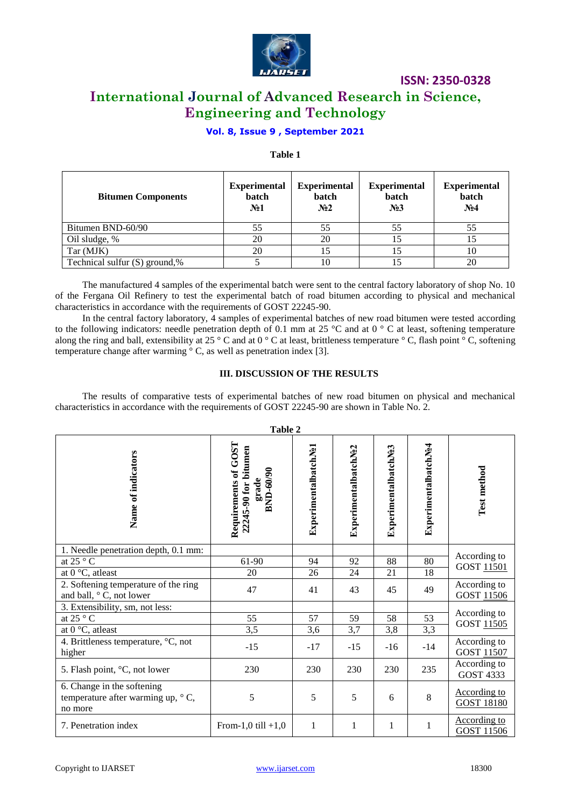

**ISSN: 2350-0328**

### **International Journal of Advanced Research in Science, Engineering and Technology**

### **Vol. 8, Issue 9 , September 2021**

### **Table 1**

| <b>Bitumen Components</b>     | <b>Experimental</b><br>batch<br>N <sub>2</sub> 1 | <b>Experimental</b><br>batch<br>N <sub>2</sub> | <b>Experimental</b><br>batch<br>N <sub>23</sub> | <b>Experimental</b><br>batch<br>N <sub>24</sub> |
|-------------------------------|--------------------------------------------------|------------------------------------------------|-------------------------------------------------|-------------------------------------------------|
| Bitumen BND-60/90             | 55                                               | 55                                             | 55                                              | 55                                              |
| Oil sludge, %                 | 20                                               | 20                                             | 15                                              |                                                 |
| Tar (MJK)                     | 20                                               | 15                                             | 15                                              | 10                                              |
| Technical sulfur (S) ground,% |                                                  | 10                                             |                                                 | 20                                              |

The manufactured 4 samples of the experimental batch were sent to the central factory laboratory of shop No. 10 of the Fergana Oil Refinery to test the experimental batch of road bitumen according to physical and mechanical characteristics in accordance with the requirements of GOST 22245-90.

In the central factory laboratory, 4 samples of experimental batches of new road bitumen were tested according to the following indicators: needle penetration depth of 0.1 mm at 25 °C and at 0 ° C at least, softening temperature along the ring and ball, extensibility at 25 ° C and at 0 ° C at least, brittleness temperature ° C, flash point  $\degree$  C, softening temperature change after warming  $\degree$  C, as well as penetration index [3].

### **III. DISCUSSION OF THE RESULTS**

The results of comparative tests of experimental batches of new road bitumen on physical and mechanical characteristics in accordance with the requirements of GOST 22245-90 are shown in Table No. 2.

| Table 2                                                                           |                                                                    |                      |                      |                      |                      |                                          |  |
|-----------------------------------------------------------------------------------|--------------------------------------------------------------------|----------------------|----------------------|----------------------|----------------------|------------------------------------------|--|
| Name of indicators                                                                | Requirements of GOST<br>22245-90 for bitumen<br>BND-60/90<br>grade | ExperimentalbatchNe1 | ExperimentalbatchNe2 | ExperimentalbatchNe3 | ExperimentalbatchNe4 | Test method                              |  |
| 1. Needle penetration depth, 0.1 mm:                                              |                                                                    |                      |                      |                      |                      | According to<br><b>GOST 11501</b>        |  |
| at 25 $\degree$ C                                                                 | 61-90                                                              | 94                   | 92                   | 88                   | 80                   |                                          |  |
| at 0 $\mathrm{^{\circ}C}$ , atleast                                               | 20                                                                 | 26                   | 24                   | 21                   | 18                   |                                          |  |
| 2. Softening temperature of the ring<br>and ball, $\circ$ C, not lower            | 47                                                                 | 41                   | 43                   | 45                   | 49                   | According to<br>GOST 11506               |  |
| 3. Extensibility, sm, not less:                                                   |                                                                    |                      |                      |                      |                      |                                          |  |
| at 25 $\degree$ C                                                                 | 55                                                                 | 57                   | 59                   | 58                   | 53                   | According to<br>GOST 11505               |  |
| at $0^{\circ}$ C, atleast                                                         | 3,5                                                                | 3,6                  | 3,7                  | 3,8                  | 3,3                  |                                          |  |
| 4. Brittleness temperature, °C, not<br>higher                                     | $-15$                                                              | $-17$                | $-15$                | $-16$                | $-14$                | According to<br>GOST 11507               |  |
| 5. Flash point, °C, not lower                                                     | 230                                                                | 230                  | 230                  | 230                  | 235                  | According to<br><b>GOST 4333</b>         |  |
| 6. Change in the softening<br>temperature after warming up, $\circ$ C,<br>no more | 5                                                                  | 5                    | 5                    | 6                    | 8                    | <b>According to</b><br><b>GOST 18180</b> |  |
| 7. Penetration index                                                              | From-1,0 till $+1,0$                                               | 1                    | $\mathbf{1}$         | $\mathbf{1}$         | 1                    | <b>According to</b><br><b>GOST 11506</b> |  |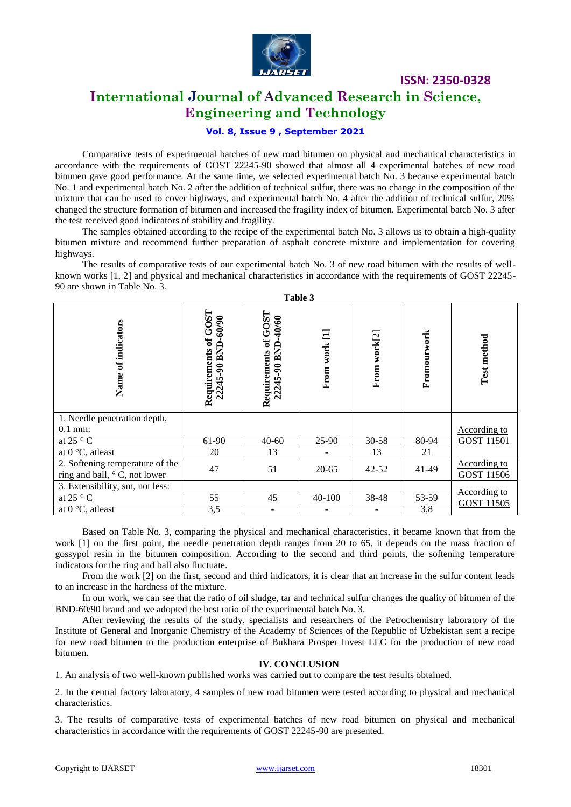

**ISSN: 2350-0328**

### **International Journal of Advanced Research in Science, Engineering and Technology**

### **Vol. 8, Issue 9 , September 2021**

Comparative tests of experimental batches of new road bitumen on physical and mechanical characteristics in accordance with the requirements of GOST 22245-90 showed that almost all 4 experimental batches of new road bitumen gave good performance. At the same time, we selected experimental batch No. 3 because experimental batch No. 1 and experimental batch No. 2 after the addition of technical sulfur, there was no change in the composition of the mixture that can be used to cover highways, and experimental batch No. 4 after the addition of technical sulfur, 20% changed the structure formation of bitumen and increased the fragility index of bitumen. Experimental batch No. 3 after the test received good indicators of stability and fragility.

The samples obtained according to the recipe of the experimental batch No. 3 allows us to obtain a high-quality bitumen mixture and recommend further preparation of asphalt concrete mixture and implementation for covering highways.

The results of comparative tests of our experimental batch No. 3 of new road bitumen with the results of wellknown works [1, 2] and physical and mechanical characteristics in accordance with the requirements of GOST 22245- 90 are shown in Table No. 3. **Table 3**

|                                                                        |                                            | Table 3                                          |                |              |             |                                          |
|------------------------------------------------------------------------|--------------------------------------------|--------------------------------------------------|----------------|--------------|-------------|------------------------------------------|
| Name of indicators                                                     | Requirements of GOST<br>22245-90 BND-60/90 | Requirements of GOST<br>$-40/60$<br>22245-90 BND | Ξ<br>From work | From work[2] | Fromourwork | Test method                              |
| 1. Needle penetration depth,                                           |                                            |                                                  |                |              |             |                                          |
| $0.1$ mm:                                                              |                                            |                                                  |                |              |             | <b>According to</b>                      |
| at 25 $\degree$ C                                                      | 61-90                                      | $40 - 60$                                        | 25-90          | $30 - 58$    | 80-94       | <b>GOST 11501</b>                        |
| at $0^{\circ}$ C, atleast                                              | 20                                         | 13                                               |                | 13           | 21          |                                          |
| 2. Softening temperature of the<br>ring and ball, $\circ$ C, not lower | 47                                         | 51                                               | $20 - 65$      | $42 - 52$    | 41-49       | <b>According to</b><br>GOST 11506        |
| 3. Extensibility, sm, not less:                                        |                                            |                                                  |                |              |             |                                          |
| at 25 $\degree$ C                                                      | 55                                         | 45                                               | 40-100         | 38-48        | 53-59       | <b>According to</b><br><b>GOST 11505</b> |
| at $0^{\circ}$ C, at least                                             | 3,5                                        |                                                  |                |              | 3,8         |                                          |

Based on Table No. 3, comparing the physical and mechanical characteristics, it became known that from the work [1] on the first point, the needle penetration depth ranges from 20 to 65, it depends on the mass fraction of gossypol resin in the bitumen composition. According to the second and third points, the softening temperature indicators for the ring and ball also fluctuate.

From the work [2] on the first, second and third indicators, it is clear that an increase in the sulfur content leads to an increase in the hardness of the mixture.

In our work, we can see that the ratio of oil sludge, tar and technical sulfur changes the quality of bitumen of the BND-60/90 brand and we adopted the best ratio of the experimental batch No. 3.

After reviewing the results of the study, specialists and researchers of the Petrochemistry laboratory of the Institute of General and Inorganic Chemistry of the Academy of Sciences of the Republic of Uzbekistan sent a recipe for new road bitumen to the production enterprise of Bukhara Prosper Invest LLC for the production of new road bitumen.

### **IV. CONCLUSION**

1. An analysis of two well-known published works was carried out to compare the test results obtained.

2. In the central factory laboratory, 4 samples of new road bitumen were tested according to physical and mechanical characteristics.

3. The results of comparative tests of experimental batches of new road bitumen on physical and mechanical characteristics in accordance with the requirements of GOST 22245-90 are presented.